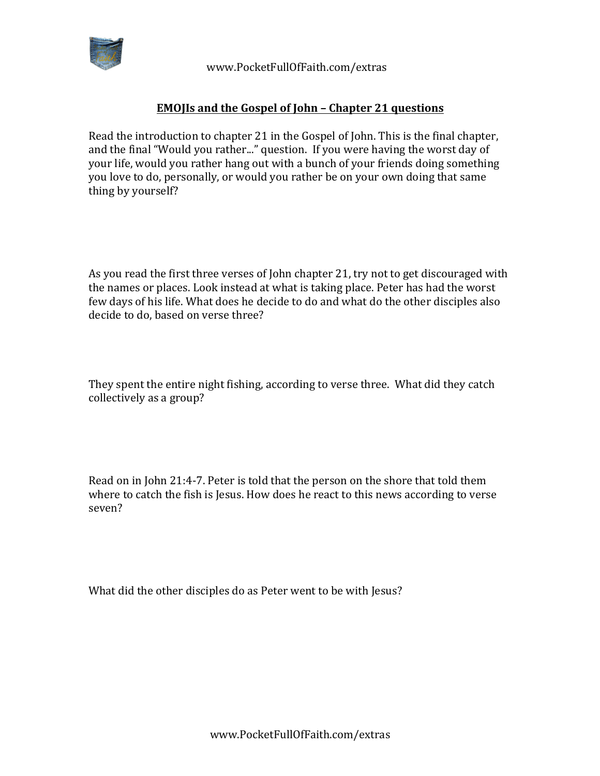

 www.PocketFullOfFaith.com/extras

## **EMOJIs and the Gospel of John - Chapter 21 questions**

Read the introduction to chapter 21 in the Gospel of John. This is the final chapter, and the final "Would you rather..." question. If you were having the worst day of your life, would you rather hang out with a bunch of your friends doing something you love to do, personally, or would you rather be on your own doing that same thing by yourself?

As you read the first three verses of John chapter 21, try not to get discouraged with the names or places. Look instead at what is taking place. Peter has had the worst few days of his life. What does he decide to do and what do the other disciples also decide to do, based on verse three?

They spent the entire night fishing, according to verse three. What did they catch collectively as a group?

Read on in John 21:4-7. Peter is told that the person on the shore that told them where to catch the fish is Jesus. How does he react to this news according to verse seven?

What did the other disciples do as Peter went to be with Jesus?